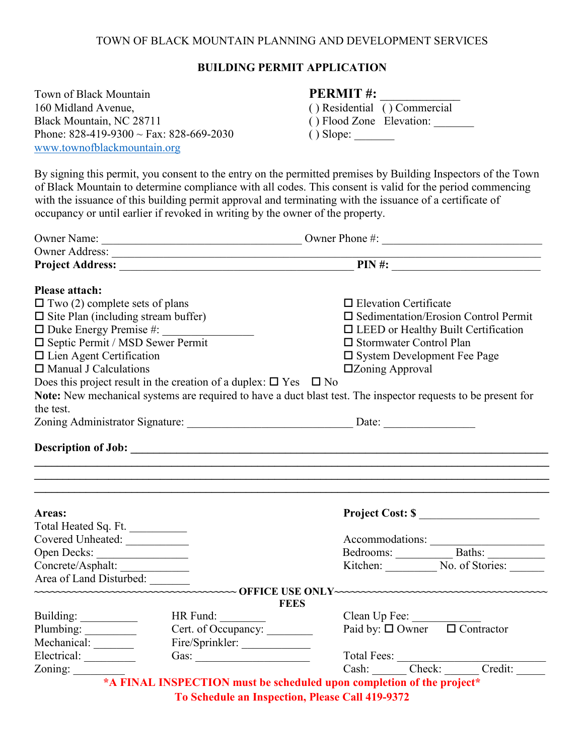## TOWN OF BLACK MOUNTAIN PLANNING AND DEVELOPMENT SERVICES

## **BUILDING PERMIT APPLICATION**

| Town of Black Mountain                                                             | <b>PERMIT#:</b>              |
|------------------------------------------------------------------------------------|------------------------------|
| 160 Midland Avenue,                                                                | () Residential () Commercial |
| Black Mountain, NC 28711                                                           | () Flood Zone Elevation:     |
| Phone: $828-419-9300 \sim \text{Fax}: 828-669-2030$<br>www.townofblackmountain.org |                              |
|                                                                                    |                              |

By signing this permit, you consent to the entry on the permitted premises by Building Inspectors of the Town of Black Mountain to determine compliance with all codes. This consent is valid for the period commencing with the issuance of this building permit approval and terminating with the issuance of a certificate of occupancy or until earlier if revoked in writing by the owner of the property.

|                                                                                                                                                                 | <u> 1989 - Johann Barnett, fransk politiker (d. 1989)</u>                        | Owner Phone #: $\frac{1}{2}$                                                                                  |  |  |                              |
|-----------------------------------------------------------------------------------------------------------------------------------------------------------------|----------------------------------------------------------------------------------|---------------------------------------------------------------------------------------------------------------|--|--|------------------------------|
|                                                                                                                                                                 | Owner Address:                                                                   |                                                                                                               |  |  |                              |
|                                                                                                                                                                 |                                                                                  | $\overrightarrow{PIN}$ #:                                                                                     |  |  |                              |
| <b>Please attach:</b>                                                                                                                                           |                                                                                  |                                                                                                               |  |  |                              |
| $\Box$ Two (2) complete sets of plans                                                                                                                           |                                                                                  | $\Box$ Elevation Certificate                                                                                  |  |  |                              |
| $\square$ Site Plan (including stream buffer)<br>$\Box$ Duke Energy Premise #:<br>$\square$ Septic Permit / MSD Sewer Permit<br>$\Box$ Lien Agent Certification |                                                                                  | $\square$ Sedimentation/Erosion Control Permit                                                                |  |  |                              |
|                                                                                                                                                                 |                                                                                  | $\Box$ LEED or Healthy Built Certification                                                                    |  |  |                              |
|                                                                                                                                                                 |                                                                                  | □ Stormwater Control Plan<br>$\square$ System Development Fee Page                                            |  |  |                              |
|                                                                                                                                                                 |                                                                                  |                                                                                                               |  |  | $\Box$ Manual J Calculations |
|                                                                                                                                                                 | Does this project result in the creation of a duplex: $\square$ Yes $\square$ No |                                                                                                               |  |  |                              |
|                                                                                                                                                                 |                                                                                  | Note: New mechanical systems are required to have a duct blast test. The inspector requests to be present for |  |  |                              |
| the test.                                                                                                                                                       |                                                                                  |                                                                                                               |  |  |                              |
|                                                                                                                                                                 |                                                                                  | Zoning Administrator Signature: Date: Date:                                                                   |  |  |                              |
|                                                                                                                                                                 |                                                                                  |                                                                                                               |  |  |                              |
|                                                                                                                                                                 |                                                                                  |                                                                                                               |  |  |                              |
|                                                                                                                                                                 |                                                                                  | Project Cost: \$                                                                                              |  |  |                              |
|                                                                                                                                                                 |                                                                                  |                                                                                                               |  |  |                              |
|                                                                                                                                                                 |                                                                                  |                                                                                                               |  |  |                              |
|                                                                                                                                                                 |                                                                                  |                                                                                                               |  |  |                              |
| Areas:<br>Total Heated Sq. Ft.<br>Covered Unheated:<br>Open Decks:<br>Concrete/Asphalt:                                                                         |                                                                                  | Accommodations:<br>Bedrooms: Baths: Baths: Kitchen: No. of Stories:                                           |  |  |                              |
|                                                                                                                                                                 |                                                                                  |                                                                                                               |  |  |                              |
|                                                                                                                                                                 | <b>FEES</b>                                                                      |                                                                                                               |  |  |                              |
|                                                                                                                                                                 | HR Fund:                                                                         |                                                                                                               |  |  |                              |
|                                                                                                                                                                 |                                                                                  | Clean Up Fee:<br>Paid by: $\square$ Owner $\square$ Contractor                                                |  |  |                              |
| Area of Land Disturbed:<br>Building:<br>Plumbing:                                                                                                               | Cert. of Occupancy:                                                              |                                                                                                               |  |  |                              |
| Mechanical: _______<br>Zoning: $\frac{2}{\sqrt{2}}$                                                                                                             | Fire/Sprinkler:<br>Gas: $\qquad \qquad$                                          |                                                                                                               |  |  |                              |